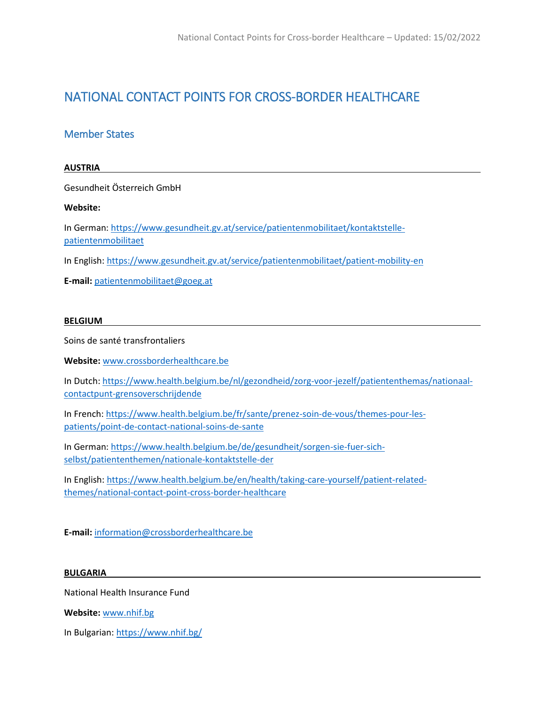# NATIONAL CONTACT POINTS FOR CROSS-BORDER HEALTHCARE

## Member States

## **AUSTRIA**

Gesundheit Österreich GmbH

## **Website:**

In German[: https://www.gesundheit.gv.at/service/patientenmobilitaet/kontaktstelle](https://www.gesundheit.gv.at/service/patientenmobilitaet/kontaktstelle-patientenmobilitaet)[patientenmobilitaet](https://www.gesundheit.gv.at/service/patientenmobilitaet/kontaktstelle-patientenmobilitaet)

In English:<https://www.gesundheit.gv.at/service/patientenmobilitaet/patient-mobility-en>

**E-mail:** [patientenmobilitaet@goeg.at](mailto:patientenmobilitaet@goeg.at)

## **BELGIUM**

Soins de santé transfrontaliers

**Website:** [www.crossborderhealthcare.be](http://www.crossborderhealthcare.be/)

In Dutch: [https://www.health.belgium.be/nl/gezondheid/zorg-voor-jezelf/patiententhemas/nationaal](https://www.health.belgium.be/nl/gezondheid/zorg-voor-jezelf/patiententhemas/nationaal-contactpunt-grensoverschrijdende)[contactpunt-grensoverschrijdende](https://www.health.belgium.be/nl/gezondheid/zorg-voor-jezelf/patiententhemas/nationaal-contactpunt-grensoverschrijdende) 

In French: [https://www.health.belgium.be/fr/sante/prenez-soin-de-vous/themes-pour-les](https://www.health.belgium.be/fr/sante/prenez-soin-de-vous/themes-pour-les-patients/point-de-contact-national-soins-de-sante)[patients/point-de-contact-national-soins-de-sante](https://www.health.belgium.be/fr/sante/prenez-soin-de-vous/themes-pour-les-patients/point-de-contact-national-soins-de-sante) 

In German[: https://www.health.belgium.be/de/gesundheit/sorgen-sie-fuer-sich](https://www.health.belgium.be/de/gesundheit/sorgen-sie-fuer-sich-selbst/patiententhemen/nationale-kontaktstelle-der)[selbst/patiententhemen/nationale-kontaktstelle-der](https://www.health.belgium.be/de/gesundheit/sorgen-sie-fuer-sich-selbst/patiententhemen/nationale-kontaktstelle-der)

In English: [https://www.health.belgium.be/en/health/taking-care-yourself/patient-related](https://www.health.belgium.be/en/health/taking-care-yourself/patient-related-themes/national-contact-point-cross-border-healthcare)[themes/national-contact-point-cross-border-healthcare](https://www.health.belgium.be/en/health/taking-care-yourself/patient-related-themes/national-contact-point-cross-border-healthcare)

**E-mail:** [information@crossborderhealthcare.be](mailto:information@crossborderhealthcare.be)

#### **BULGARIA**

National Health Insurance Fund

**Website:** [www.nhif.bg](http://www.nhif.bg/)

In Bulgarian[: https://www.nhif.bg/](https://www.nhif.bg/)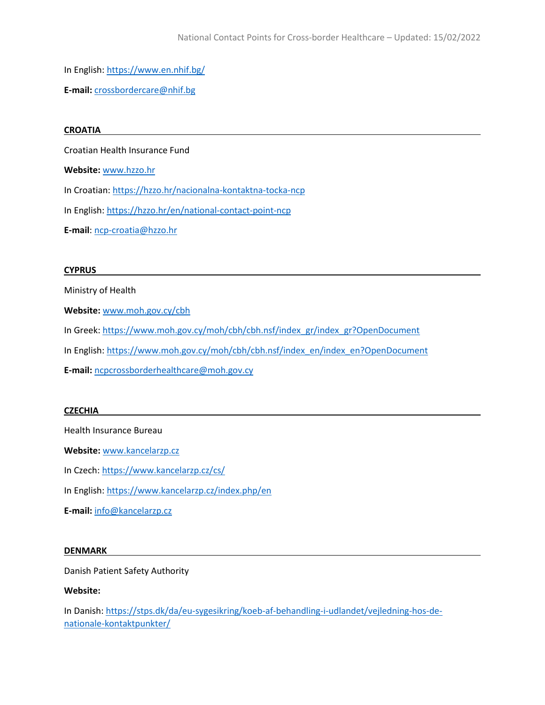In English:<https://www.en.nhif.bg/>

**E-mail:** [crossbordercare@nhif.bg](mailto:crossbordercare@nhif.bg)

#### **CROATIA**

Croatian Health Insurance Fund

**Website:** [www.hzzo.hr](http://www.hzzo.hr/)

In Croatian[: https://hzzo.hr/nacionalna-kontaktna-tocka-ncp](https://hzzo.hr/nacionalna-kontaktna-tocka-ncp)

In English:<https://hzzo.hr/en/national-contact-point-ncp>

**E-mail**: [ncp-croatia@hzzo.hr](mailto:ncp-croatia@hzzo.hr)

#### **CYPRUS**

Ministry of Health

**Website:** [www.moh.gov.cy/cbh](http://www.moh.gov.cy/cbh)

In Greek: [https://www.moh.gov.cy/moh/cbh/cbh.nsf/index\\_gr/index\\_gr?OpenDocument](https://www.moh.gov.cy/moh/cbh/cbh.nsf/index_gr/index_gr?OpenDocument) 

In English: [https://www.moh.gov.cy/moh/cbh/cbh.nsf/index\\_en/index\\_en?OpenDocument](https://www.moh.gov.cy/moh/cbh/cbh.nsf/index_en/index_en?OpenDocument)

**E-mail:** [ncpcrossborderhealthcare@moh.gov.cy](mailto:ncpcrossborderhealthcare@moh.gov.cy)

#### **CZECHIA**

Health Insurance Bureau

**Website:** [www.kancelarzp.cz](http://www.kancelarzp.cz/)

In Czech[: https://www.kancelarzp.cz/cs/](https://www.kancelarzp.cz/cs/)

In English:<https://www.kancelarzp.cz/index.php/en>

**E-mail:** [info@kancelarzp.cz](mailto:info@kancelarzp.cz)

#### **DENMARK**

Danish Patient Safety Authority

### **Website:**

In Danish: [https://stps.dk/da/eu-sygesikring/koeb-af-behandling-i-udlandet/vejledning-hos-de](https://stps.dk/da/eu-sygesikring/koeb-af-behandling-i-udlandet/vejledning-hos-de-nationale-kontaktpunkter/)[nationale-kontaktpunkter/](https://stps.dk/da/eu-sygesikring/koeb-af-behandling-i-udlandet/vejledning-hos-de-nationale-kontaktpunkter/)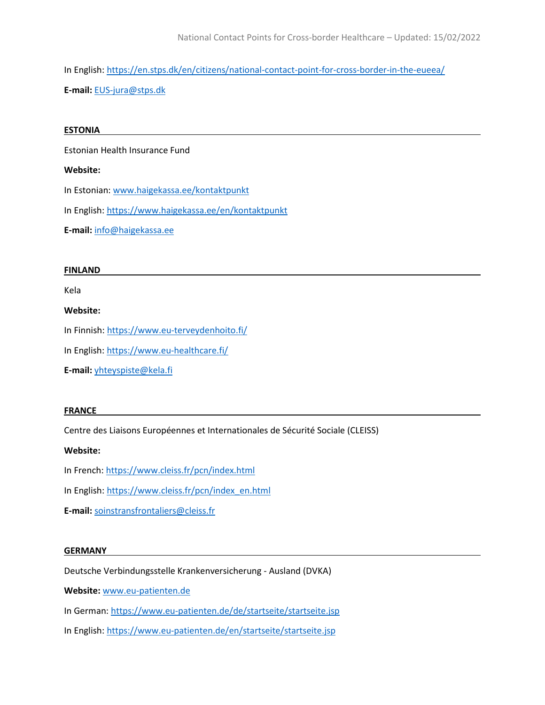In English:<https://en.stps.dk/en/citizens/national-contact-point-for-cross-border-in-the-eueea/> **E-mail:** [EUS-jura@stps.dk](mailto:EUS-jura@stps.dk)

#### **ESTONIA**

Estonian Health Insurance Fund

#### **Website:**

In Estonian: [www.haigekassa.ee/kontaktpunkt](http://www.haigekassa.ee/kontaktpunkt)

In English:<https://www.haigekassa.ee/en/kontaktpunkt>

**E-mail:** [info@haigekassa.ee](mailto:info@haigekassa.ee)

#### **FINLAND**

Kela

### **Website:**

In Finnish: <https://www.eu-terveydenhoito.fi/>

In English:<https://www.eu-healthcare.fi/>

**E-mail:** [yhteyspiste@kela.fi](mailto:yhteyspiste@kela.fi)

#### **FRANCE**

Centre des Liaisons Européennes et Internationales de Sécurité Sociale (CLEISS)

#### **Website:**

- In French: <https://www.cleiss.fr/pcn/index.html>
- In English: [https://www.cleiss.fr/pcn/index\\_en.html](https://www.cleiss.fr/pcn/index_en.html)
- **E-mail:** [soinstransfrontaliers@cleiss.fr](mailto:soinstransfrontaliers@cleiss.fr)

#### **GERMANY**

Deutsche Verbindungsstelle Krankenversicherung - Ausland (DVKA)

**Website:** [www.eu-patienten.de](http://www.eu-patienten.de/)

- In German[: https://www.eu-patienten.de/de/startseite/startseite.jsp](https://www.eu-patienten.de/de/startseite/startseite.jsp)
- In English:<https://www.eu-patienten.de/en/startseite/startseite.jsp>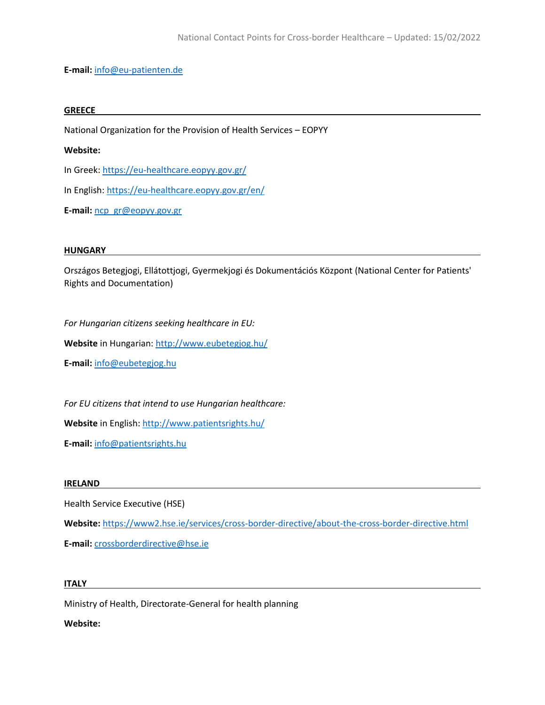**E-mail:** [info@eu-patienten.de](mailto:info@eu-patienten.de)

#### **GREECE**

National Organization for the Provision of Health Services – EOPYY

#### **Website:**

In Greek:<https://eu-healthcare.eopyy.gov.gr/>

In English:<https://eu-healthcare.eopyy.gov.gr/en/>

**E-mail:** [ncp\\_gr@eopyy.gov.gr](mailto:ncp_gr@eopyy.gov.gr)

#### **HUNGARY**

Országos Betegjogi, Ellátottjogi, Gyermekjogi és Dokumentációs Központ (National Center for Patients' Rights and Documentation)

*For Hungarian citizens seeking healthcare in EU:*

**Website** in Hungarian: <http://www.eubetegjog.hu/>

**E-mail:** [info@eubetegjog.hu](mailto:info@eubetegjog.hu)

*For EU citizens that intend to use Hungarian healthcare:*

Website in English:<http://www.patientsrights.hu/>

**E-mail:** [info@patientsrights.hu](mailto:info@patientsrights.hu)

#### **IRELAND**

Health Service Executive (HSE)

**Website:** <https://www2.hse.ie/services/cross-border-directive/about-the-cross-border-directive.html>

**E-mail:** [crossborderdirective@hse.ie](mailto:crossborderdirective@hse.ie)

#### **ITALY**

Ministry of Health, Directorate-General for health planning

## **Website:**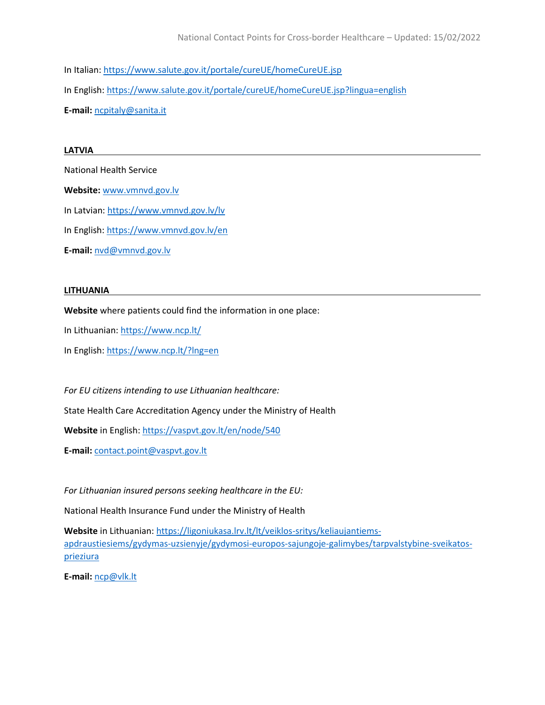In Italian: <https://www.salute.gov.it/portale/cureUE/homeCureUE.jsp> In English: <https://www.salute.gov.it/portale/cureUE/homeCureUE.jsp?lingua=english> **E-mail:** [ncpitaly@sanita.it](mailto:ncpitaly@sanita.it)

#### **LATVIA**

National Health Service

**Website:** [www.vmnvd.gov.lv](http://www.vmnvd.gov.lv/)

In Latvian[: https://www.vmnvd.gov.lv/lv](https://www.vmnvd.gov.lv/lv) 

In English:<https://www.vmnvd.gov.lv/en>

**E-mail:** [nvd@vmnvd.gov.lv](mailto:nvd@vmnvd.gov.lv)

#### **LITHUANIA**

**Website** where patients could find the information in one place:

In Lithuanian[: https://www.ncp.lt/](https://www.ncp.lt/)

In English:<https://www.ncp.lt/?lng=en>

*For EU citizens intending to use Lithuanian healthcare:*

State Health Care Accreditation Agency under the Ministry of Health

**Website** in English: <https://vaspvt.gov.lt/en/node/540>

**E-mail:** [contact.point@vaspvt.gov.lt](mailto:contact.point@vaspvt.gov.lt)

*For Lithuanian insured persons seeking healthcare in the EU:*

National Health Insurance Fund under the Ministry of Health

**Website** in Lithuanian[: https://ligoniukasa.lrv.lt/lt/veiklos-sritys/keliaujantiems](https://ligoniukasa.lrv.lt/lt/veiklos-sritys/keliaujantiems-apdraustiesiems/gydymas-uzsienyje/gydymosi-europos-sajungoje-galimybes/tarpvalstybine-sveikatos-prieziura)[apdraustiesiems/gydymas-uzsienyje/gydymosi-europos-sajungoje-galimybes/tarpvalstybine-sveikatos](https://ligoniukasa.lrv.lt/lt/veiklos-sritys/keliaujantiems-apdraustiesiems/gydymas-uzsienyje/gydymosi-europos-sajungoje-galimybes/tarpvalstybine-sveikatos-prieziura)[prieziura](https://ligoniukasa.lrv.lt/lt/veiklos-sritys/keliaujantiems-apdraustiesiems/gydymas-uzsienyje/gydymosi-europos-sajungoje-galimybes/tarpvalstybine-sveikatos-prieziura)

**E-mail:** [ncp@vlk.lt](mailto:ncp@vlk.lt)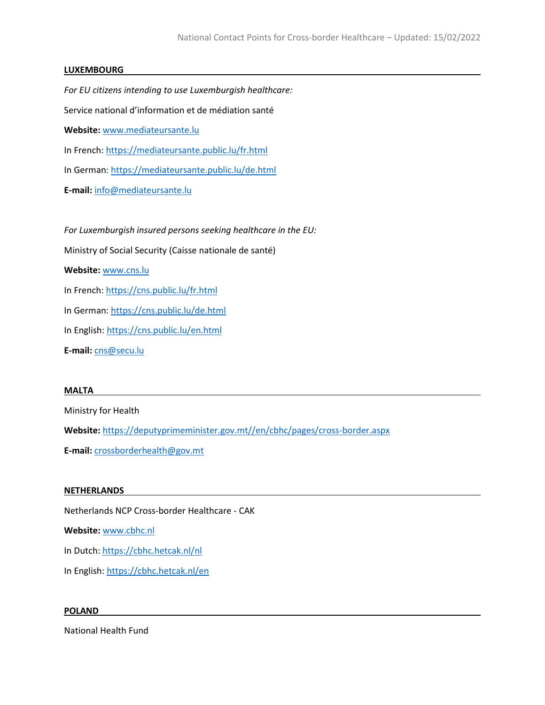## **LUXEMBOURG**

*For EU citizens intending to use Luxemburgish healthcare:* Service national d'information et de médiation santé **Website:** [www.mediateursante.lu](http://www.mediateursante.lu/) In French: <https://mediateursante.public.lu/fr.html> In German[: https://mediateursante.public.lu/de.html](https://mediateursante.public.lu/de.html) **E-mail:** [info@mediateursante.lu](mailto:info@mediateursante.lu) *For Luxemburgish insured persons seeking healthcare in the EU:* Ministry of Social Security (Caisse nationale de santé) **Website:** [www.cns.lu](http://www.cns.lu/) In French:<https://cns.public.lu/fr.html>

In German[: https://cns.public.lu/de.html](https://cns.public.lu/de.html) 

In English:<https://cns.public.lu/en.html>

**E-mail:** [cns@secu.lu](mailto:cns@secu.lu)

#### **MALTA**

Ministry for Health

**Website:** [https://deputyprimeminister.gov.mt//en/cbhc/pages/cross-border.aspx](https://deputyprimeminister.gov.mt/en/cbhc/pages/cross-border.aspx)

**E-mail:** [crossborderhealth@gov.mt](mailto:crossborderhealth@gov.mt)

#### **NETHERLANDS**

Netherlands NCP Cross-border Healthcare - CAK

**Website:** [www.cbhc.nl](http://www.cbhc.nl/)

In Dutch:<https://cbhc.hetcak.nl/nl>

In English:<https://cbhc.hetcak.nl/en>

#### **POLAND**

National Health Fund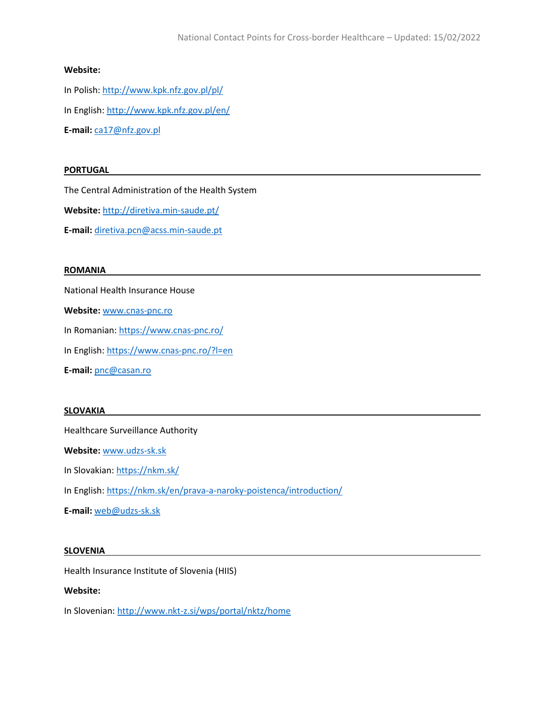## **Website:**

In Polish:<http://www.kpk.nfz.gov.pl/pl/> In English:<http://www.kpk.nfz.gov.pl/en/> **E-mail:** [ca17@nfz.gov.pl](mailto:ca17@nfz.gov.pl)

## **PORTUGAL**

The Central Administration of the Health System

**Website:** <http://diretiva.min-saude.pt/>

**E-mail:** [diretiva.pcn@acss.min-saude.pt](mailto:diretiva.pcn@acss.min-saude.pt)

#### **ROMANIA**

National Health Insurance House

**Website:** [www.cnas-pnc.ro](http://www.cnas-pnc.ro/)

In Romanian[: https://www.cnas-pnc.ro/](https://www.cnas-pnc.ro/)

In English: <https://www.cnas-pnc.ro/?l=en>

**E-mail:** [pnc@casan.ro](mailto:pnc@casan.ro)

#### **SLOVAKIA**

Healthcare Surveillance Authority

**Website:** [www.udzs-sk.sk](http://www.udzs-sk.sk/)

In Slovakian[: https://nkm.sk/](https://nkm.sk/)

In English:<https://nkm.sk/en/prava-a-naroky-poistenca/introduction/>

**E-mail:** [web@udzs-sk.sk](mailto:web@udzs-sk.sk)

#### **SLOVENIA**

Health Insurance Institute of Slovenia (HIIS)

### **Website:**

In Slovenian: <http://www.nkt-z.si/wps/portal/nktz/home>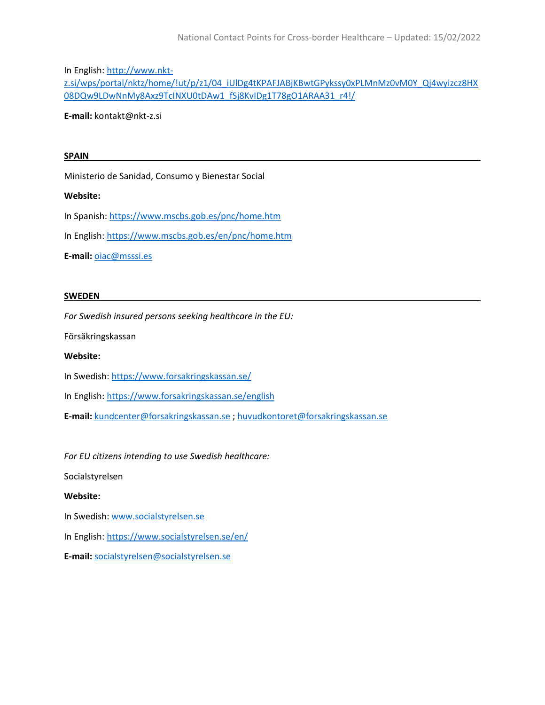In English: [http://www.nkt-](http://www.nkt-z.si/wps/portal/nktz/home/!ut/p/z1/04_iUlDg4tKPAFJABjKBwtGPykssy0xPLMnMz0vM0Y_Qj4wyizcz8HX08DQw9LDwNnMy8Axz9TcINXU0tDAw1_fSj8KvIDg1T78gO1ARAA31_r4!/)

[z.si/wps/portal/nktz/home/!ut/p/z1/04\\_iUlDg4tKPAFJABjKBwtGPykssy0xPLMnMz0vM0Y\\_Qj4wyizcz8HX](http://www.nkt-z.si/wps/portal/nktz/home/!ut/p/z1/04_iUlDg4tKPAFJABjKBwtGPykssy0xPLMnMz0vM0Y_Qj4wyizcz8HX08DQw9LDwNnMy8Axz9TcINXU0tDAw1_fSj8KvIDg1T78gO1ARAA31_r4!/) [08DQw9LDwNnMy8Axz9TcINXU0tDAw1\\_fSj8KvIDg1T78gO1ARAA31\\_r4!/](http://www.nkt-z.si/wps/portal/nktz/home/!ut/p/z1/04_iUlDg4tKPAFJABjKBwtGPykssy0xPLMnMz0vM0Y_Qj4wyizcz8HX08DQw9LDwNnMy8Axz9TcINXU0tDAw1_fSj8KvIDg1T78gO1ARAA31_r4!/)

**E-mail:** kontakt@nkt-z.si

#### **SPAIN**

Ministerio de Sanidad, Consumo y Bienestar Social

## **Website:**

In Spanish:<https://www.mscbs.gob.es/pnc/home.htm>

In English:<https://www.mscbs.gob.es/en/pnc/home.htm>

**E-mail:** [oiac@msssi.es](mailto:oiac@msssi.es)

#### **SWEDEN**

*For Swedish insured persons seeking healthcare in the EU:*

Försäkringskassan

#### **Website:**

In Swedish:<https://www.forsakringskassan.se/>

In English:<https://www.forsakringskassan.se/english>

**E-mail:** [kundcenter@forsakringskassan.se](mailto:kundcenter@forsakringskassan.se) [; huvudkontoret@forsakringskassan.se](mailto:huvudkontoret@forsakringskassan.se)

*For EU citizens intending to use Swedish healthcare:*

Socialstyrelsen

#### **Website:**

- In Swedish: [www.socialstyrelsen.se](http://www.socialstyrelsen.se/)
- In English:<https://www.socialstyrelsen.se/en/>
- **E-mail:** [socialstyrelsen@socialstyrelsen.se](mailto:socialstyrelsen@socialstyrelsen.se)